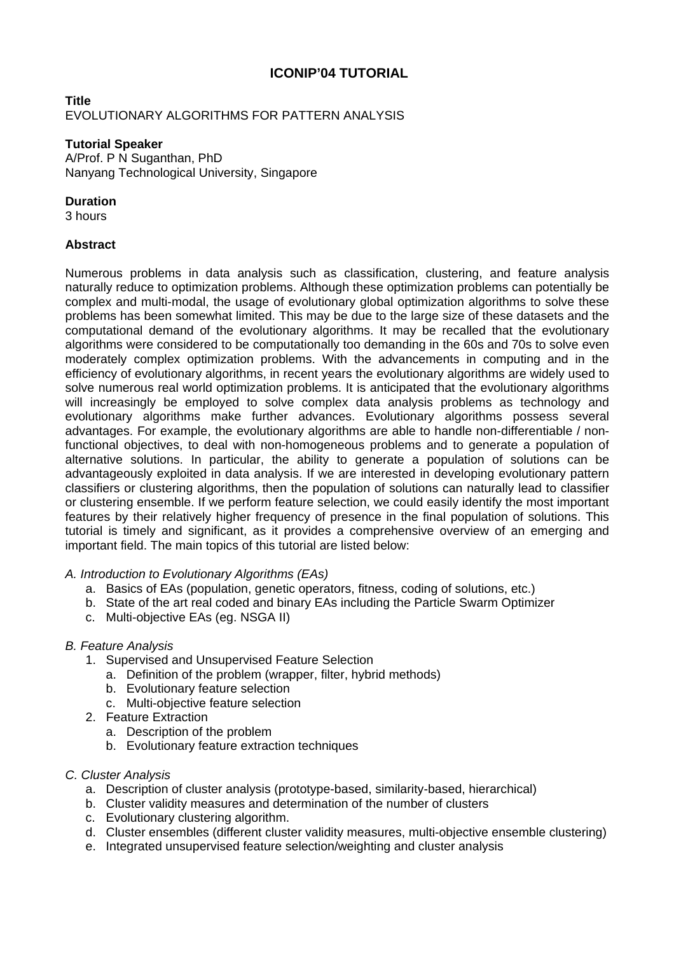# **ICONIP'04 TUTORIAL**

## **Title**  EVOLUTIONARY ALGORITHMS FOR PATTERN ANALYSIS

### **Tutorial Speaker**

A/Prof. P N Suganthan, PhD Nanyang Technological University, Singapore

### **Duration**

3 hours

## **Abstract**

Numerous problems in data analysis such as classification, clustering, and feature analysis naturally reduce to optimization problems. Although these optimization problems can potentially be complex and multi-modal, the usage of evolutionary global optimization algorithms to solve these problems has been somewhat limited. This may be due to the large size of these datasets and the computational demand of the evolutionary algorithms. It may be recalled that the evolutionary algorithms were considered to be computationally too demanding in the 60s and 70s to solve even moderately complex optimization problems. With the advancements in computing and in the efficiency of evolutionary algorithms, in recent years the evolutionary algorithms are widely used to solve numerous real world optimization problems. It is anticipated that the evolutionary algorithms will increasingly be employed to solve complex data analysis problems as technology and evolutionary algorithms make further advances. Evolutionary algorithms possess several advantages. For example, the evolutionary algorithms are able to handle non-differentiable / nonfunctional objectives, to deal with non-homogeneous problems and to generate a population of alternative solutions. In particular, the ability to generate a population of solutions can be advantageously exploited in data analysis. If we are interested in developing evolutionary pattern classifiers or clustering algorithms, then the population of solutions can naturally lead to classifier or clustering ensemble. If we perform feature selection, we could easily identify the most important features by their relatively higher frequency of presence in the final population of solutions. This tutorial is timely and significant, as it provides a comprehensive overview of an emerging and important field. The main topics of this tutorial are listed below:

#### *A. Introduction to Evolutionary Algorithms (EAs)*

- a. Basics of EAs (population, genetic operators, fitness, coding of solutions, etc.)
- b. State of the art real coded and binary EAs including the Particle Swarm Optimizer
- c. Multi-objective EAs (eg. NSGA II)

## *B. Feature Analysis*

- 1. Supervised and Unsupervised Feature Selection
	- a. Definition of the problem (wrapper, filter, hybrid methods)
	- b. Evolutionary feature selection
	- c. Multi-objective feature selection
- 2. Feature Extraction
	- a. Description of the problem
	- b. Evolutionary feature extraction techniques

#### *C. Cluster Analysis*

- a. Description of cluster analysis (prototype-based, similarity-based, hierarchical)
- b. Cluster validity measures and determination of the number of clusters
- c. Evolutionary clustering algorithm.
- d. Cluster ensembles (different cluster validity measures, multi-objective ensemble clustering)
- e. Integrated unsupervised feature selection/weighting and cluster analysis